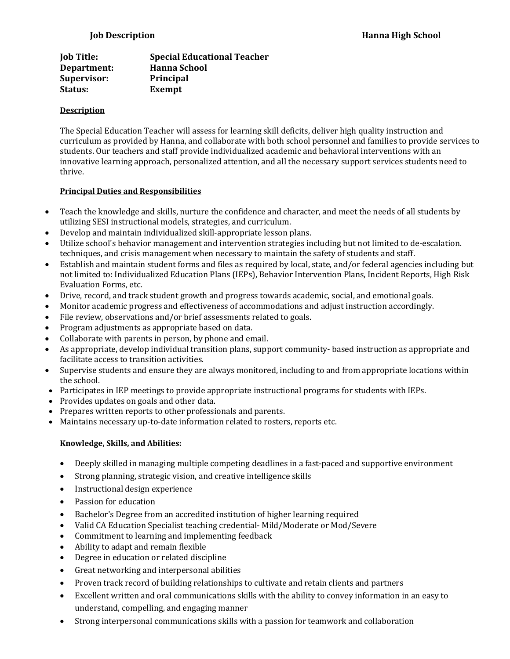| <b>Job Title:</b> | <b>Special Educational Teacher</b> |
|-------------------|------------------------------------|
| Department:       | <b>Hanna School</b>                |
| Supervisor:       | <b>Principal</b>                   |
| Status:           | Exempt                             |

## **Description**

The Special Education Teacher will assess for learning skill deficits, deliver high quality instruction and curriculum as provided by Hanna, and collaborate with both school personnel and families to provide services to students. Our teachers and staff provide individualized academic and behavioral interventions with an innovative learning approach, personalized attention, and all the necessary support services students need to thrive.

## **Principal Duties and Responsibilities**

- Teach the knowledge and skills, nurture the confidence and character, and meet the needs of all students by utilizing SESI instructional models, strategies, and curriculum.
- Develop and maintain individualized skill-appropriate lesson plans.
- Utilize school's behavior management and intervention strategies including but not limited to de-escalation. techniques, and crisis management when necessary to maintain the safety of students and staff.
- Establish and maintain student forms and files as required by local, state, and/or federal agencies including but not limited to: Individualized Education Plans (IEPs), Behavior Intervention Plans, Incident Reports, High Risk Evaluation Forms, etc.
- Drive, record, and track student growth and progress towards academic, social, and emotional goals.
- Monitor academic progress and effectiveness of accommodations and adjust instruction accordingly.
- File review, observations and/or brief assessments related to goals.
- Program adjustments as appropriate based on data.
- Collaborate with parents in person, by phone and email.
- As appropriate, develop individual transition plans, support community- based instruction as appropriate and facilitate access to transition activities.
- Supervise students and ensure they are always monitored, including to and from appropriate locations within the school.
- Participates in IEP meetings to provide appropriate instructional programs for students with IEPs.
- Provides updates on goals and other data.
- Prepares written reports to other professionals and parents.
- Maintains necessary up-to-date information related to rosters, reports etc.

## **Knowledge, Skills, and Abilities:**

- Deeply skilled in managing multiple competing deadlines in a fast-paced and supportive environment
- Strong planning, strategic vision, and creative intelligence skills
- Instructional design experience
- Passion for education
- Bachelor's Degree from an accredited institution of higher learning required
- Valid CA Education Specialist teaching credential- Mild/Moderate or Mod/Severe
- Commitment to learning and implementing feedback
- Ability to adapt and remain flexible
- Degree in education or related discipline
- Great networking and interpersonal abilities
- Proven track record of building relationships to cultivate and retain clients and partners
- Excellent written and oral communications skills with the ability to convey information in an easy to understand, compelling, and engaging manner
- Strong interpersonal communications skills with a passion for teamwork and collaboration